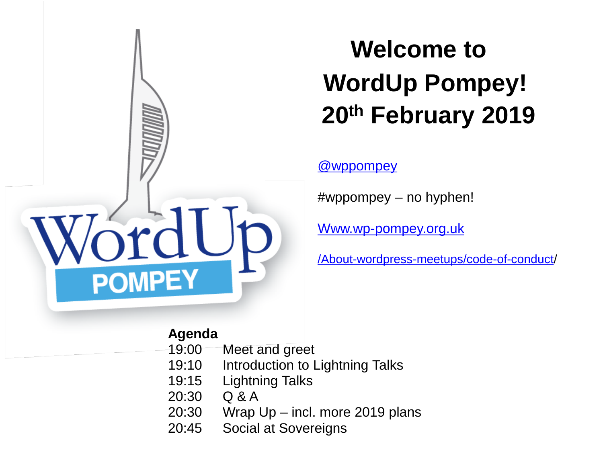

#### **Welcome to WordUp Pompey! 20th February 2019**

#### [@wppompey](https://twitter.com/wppompey)

#wppompey – no hyphen!

[Www.wp-pompey.org.uk](http://Www.wp-pompey.org.uk/)

[/About-wordpress-meetups/code-of-conduct](https://www.wp-pompey.org.uk/about-wordpress-meetups/code-of-conduct/)/

#### **Agenda**

- 19:00 Meet and greet
- 19:10 Introduction to Lightning Talks
- 19:15 Lightning Talks
- 20:30 Q & A
- 20:30 Wrap Up incl. more 2019 plans
- 20:45 Social at Sovereigns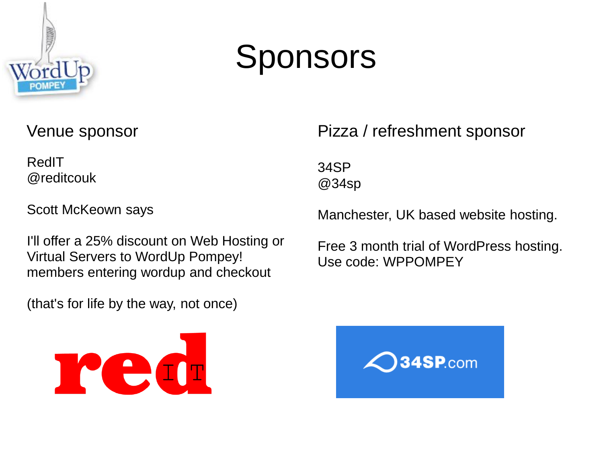

### Sponsors

#### Venue sponsor

RedIT @reditcouk

Scott McKeown says

I'll offer a 25% discount on Web Hosting or Virtual Servers to WordUp Pompey! members entering wordup and checkout

(that's for life by the way, not once)



#### Pizza / refreshment sponsor

34SP @34sp

Manchester, UK based website hosting.

Free 3 month trial of WordPress hosting. Use code: WPPOMPEY

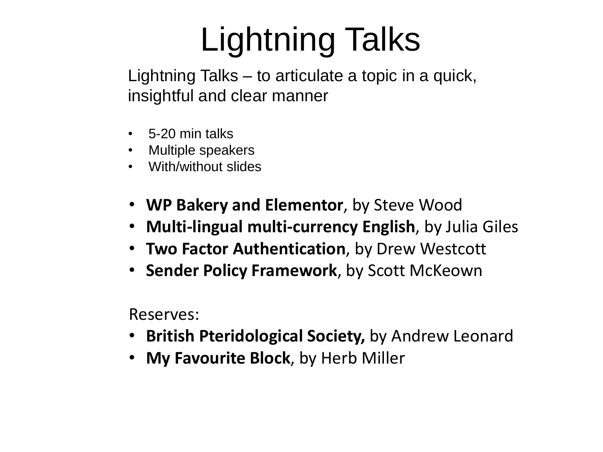# Lightning Talks

Lightning Talks – to articulate a topic in a quick, insightful and clear manner

- 5-20 min talks
- Multiple speakers
- With/without slides
- **WP Bakery and Elementor**, by Steve Wood
- **Multi-lingual multi-currency English**, by Julia Giles
- **Two Factor Authentication**, by Drew Westcott
- **Sender Policy Framework**, by Scott McKeown

Reserves:

- **British Pteridological Society,** by Andrew Leonard
- **My Favourite Block**, by Herb Miller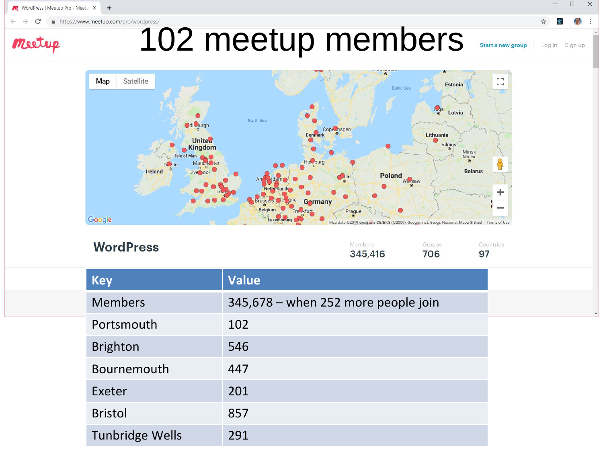WordPress | Meetup Pro - Meetu X  $+$ 

Meetup

 $\mathcal{C}$  $\rightarrow$ 

# 102 meetup members

 $\begin{bmatrix} 1 & 1 \\ 1 & 1 \end{bmatrix}$ Satellite Map Estonia **Baltic Sea A**<sub>g</sub>a Latvia North Sea **Odil** wurgh Cope<sub>rhagen</sub> Lithuania Denmark **United** Vilnius<sup>3</sup> Kingdom  $\bullet$ Minsk lele of Man Мінск Hal<sub>m</sub>burg **Manch**Oter **D**olin Live ool Poland <sub>Warsaw</sub> **Belarus** Ireland ÷ Gormany Belgium Prague Fra<sub>nkfurt</sub> Google

**WordPress** 

| Members | Groups | Countries |
|---------|--------|-----------|
| 345,416 | 706    | 97        |

Map data @2019 GeoBasis-DE/BKG (@2009), Google, Inst. Geogr. Nacional, Mapa GISrael Terms of Use

 $\Box$ 

Log in Sign up

☆

Start a new group

 $\times$ 

| Key             | <b>Value</b>                        |
|-----------------|-------------------------------------|
| <b>Members</b>  | 345,678 – when 252 more people join |
| Portsmouth      | 102                                 |
| <b>Brighton</b> | 546                                 |
| Bournemouth     | 447                                 |
| Exeter          | 201                                 |
| <b>Bristol</b>  | 857                                 |
| Tunbridge Wells | 291                                 |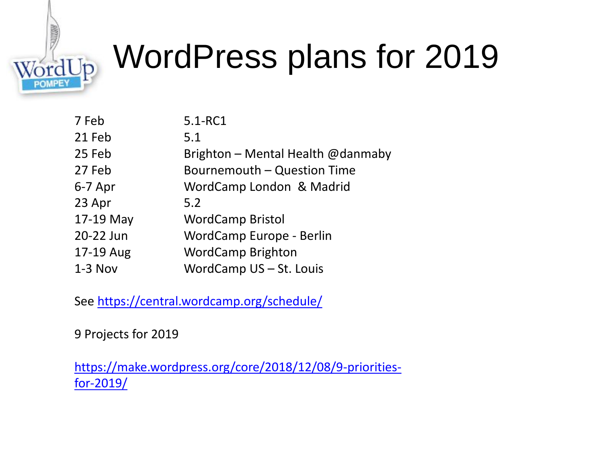

## WordPress plans for 2019

| 7 Feb     | 5.1-RC1                           |
|-----------|-----------------------------------|
| 21 Feb    | 5.1                               |
| 25 Feb    | Brighton - Mental Health @danmaby |
| 27 Feb    | Bournemouth - Question Time       |
| $6-7$ Apr | WordCamp London & Madrid          |
| 23 Apr    | 5.2                               |
| 17-19 May | <b>WordCamp Bristol</b>           |
| 20-22 Jun | WordCamp Europe - Berlin          |
| 17-19 Aug | <b>WordCamp Brighton</b>          |
| $1-3$ Nov | WordCamp US - St. Louis           |

See<https://central.wordcamp.org/schedule/>

9 Projects for 2019

[https://make.wordpress.org/core/2018/12/08/9-priorities](https://make.wordpress.org/core/2018/12/08/9-priorities-for-2019/)[for-2019/](https://make.wordpress.org/core/2018/12/08/9-priorities-for-2019/)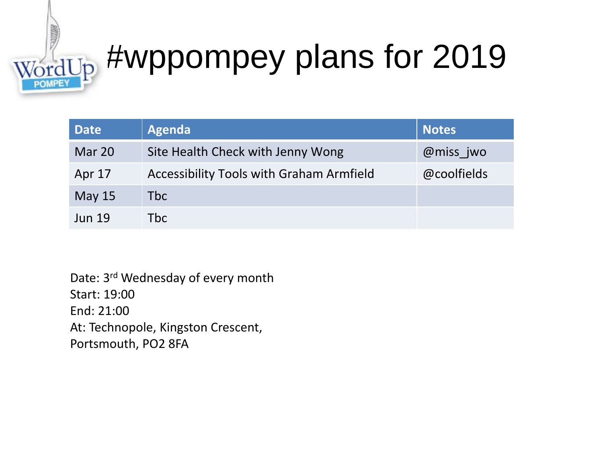# $\frac{1}{\text{WordUp}}$  #wppompey plans for 2019

| <b>Date</b>   | Agenda                                   | <b>Notes</b> |
|---------------|------------------------------------------|--------------|
| Mar 20        | Site Health Check with Jenny Wong        | @miss jwo    |
| Apr 17        | Accessibility Tools with Graham Armfield | @coolfields  |
| May $15$      | Tbc l                                    |              |
| <b>Jun 19</b> | Tbc                                      |              |

Date: 3rd Wednesday of every month Start: 19:00 End: 21:00 At: Technopole, Kingston Crescent, Portsmouth, PO2 8FA

**RECORDS**